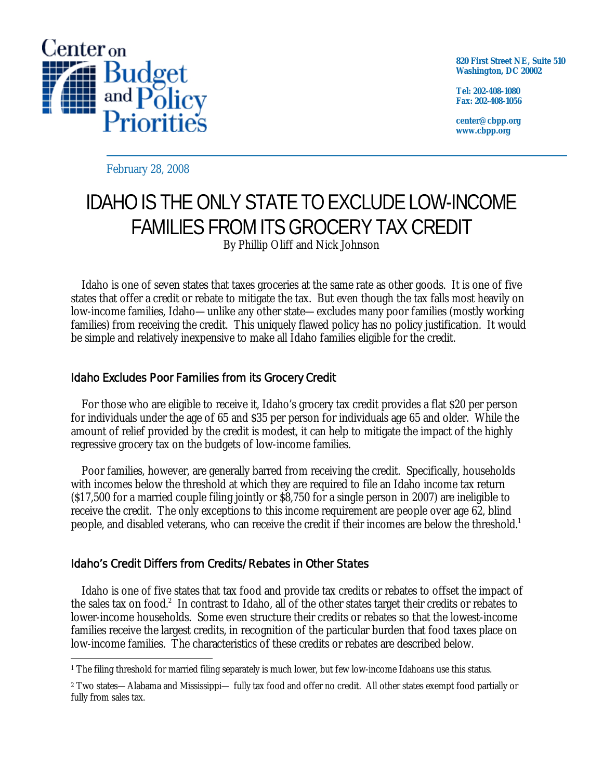

**820 First Street NE, Suite 510 Washington, DC 20002** 

**Tel: 202-408-1080 Fax: 202-408-1056** 

**center@cbpp.org www.cbpp.org** 

February 28, 2008

# IDAHO IS THE ONLY STATE TO EXCLUDE LOW-INCOME FAMILIES FROM ITS GROCERY TAX CREDIT By Phillip Oliff and Nick Johnson

Idaho is one of seven states that taxes groceries at the same rate as other goods. It is one of five states that offer a credit or rebate to mitigate the tax. But even though the tax falls most heavily on low-income families, Idaho—unlike any other state—excludes many poor families (mostly working families) from receiving the credit. This uniquely flawed policy has no policy justification. It would be simple and relatively inexpensive to make all Idaho families eligible for the credit.

## Idaho Excludes Poor Families from its Grocery Credit

For those who are eligible to receive it, Idaho's grocery tax credit provides a flat \$20 per person for individuals under the age of 65 and \$35 per person for individuals age 65 and older. While the amount of relief provided by the credit is modest, it can help to mitigate the impact of the highly regressive grocery tax on the budgets of low-income families.

Poor families, however, are generally barred from receiving the credit. Specifically, households with incomes below the threshold at which they are required to file an Idaho income tax return (\$17,500 for a married couple filing jointly or \$8,750 for a single person in 2007) are ineligible to receive the credit. The only exceptions to this income requirement are people over age 62, blind people, and disabled veterans, who can receive the credit if their incomes are below the threshold.<sup>1</sup>

## Idaho's Credit Differs from Credits/Rebates in Other States

 Idaho is one of five states that tax food and provide tax credits or rebates to offset the impact of the sales tax on food.<sup>2</sup> In contrast to Idaho, all of the other states target their credits or rebates to lower-income households. Some even structure their credits or rebates so that the lowest-income families receive the largest credits, in recognition of the particular burden that food taxes place on low-income families. The characteristics of these credits or rebates are described below.

 $\overline{a}$ 1 The filing threshold for married filing separately is much lower, but few low-income Idahoans use this status.

<sup>2</sup> Two states—Alabama and Mississippi— fully tax food and offer no credit. All other states exempt food partially or fully from sales tax.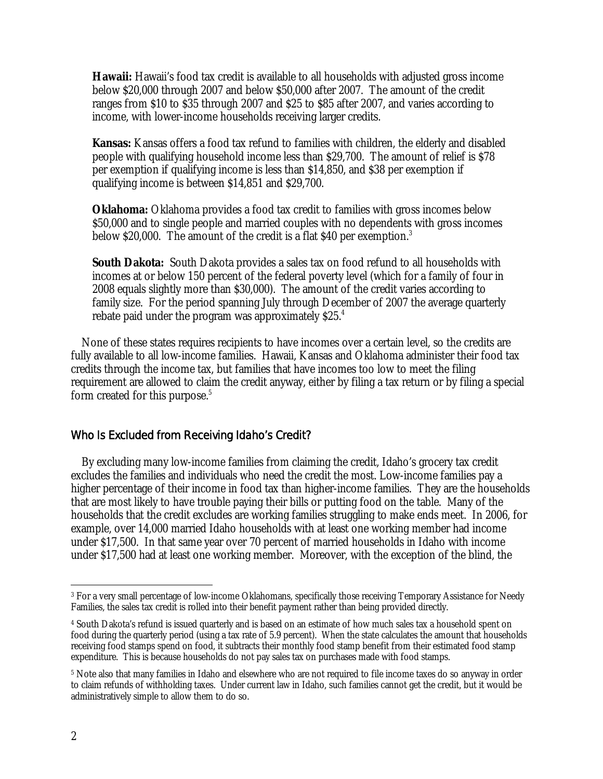**Hawaii:** Hawaii's food tax credit is available to all households with adjusted gross income below \$20,000 through 2007 and below \$50,000 after 2007. The amount of the credit ranges from \$10 to \$35 through 2007 and \$25 to \$85 after 2007, and varies according to income, with lower-income households receiving larger credits.

**Kansas:** Kansas offers a food tax refund to families with children, the elderly and disabled people with qualifying household income less than \$29,700. The amount of relief is \$78 per exemption if qualifying income is less than \$14,850, and \$38 per exemption if qualifying income is between \$14,851 and \$29,700.

**Oklahoma:** Oklahoma provides a food tax credit to families with gross incomes below \$50,000 and to single people and married couples with no dependents with gross incomes below \$20,000. The amount of the credit is a flat \$40 per exemption.<sup>3</sup>

**South Dakota:** South Dakota provides a sales tax on food refund to all households with incomes at or below 150 percent of the federal poverty level (which for a family of four in 2008 equals slightly more than \$30,000). The amount of the credit varies according to family size. For the period spanning July through December of 2007 the average quarterly rebate paid under the program was approximately \$25.4

None of these states requires recipients to have incomes over a certain level, so the credits are fully available to all low-income families. Hawaii, Kansas and Oklahoma administer their food tax credits through the income tax, but families that have incomes too low to meet the filing requirement are allowed to claim the credit anyway, either by filing a tax return or by filing a special form created for this purpose.<sup>5</sup>

#### Who Is Excluded from Receiving Idaho's Credit?

By excluding many low-income families from claiming the credit, Idaho's grocery tax credit excludes the families and individuals who need the credit the most. Low-income families pay a higher percentage of their income in food tax than higher-income families. They are the households that are most likely to have trouble paying their bills or putting food on the table. Many of the households that the credit excludes are working families struggling to make ends meet. In 2006, for example, over 14,000 married Idaho households with at least one working member had income under \$17,500. In that same year over 70 percent of married households in Idaho with income under \$17,500 had at least one working member. Moreover, with the exception of the blind, the

 $\overline{a}$ 3 For a very small percentage of low-income Oklahomans, specifically those receiving Temporary Assistance for Needy Families, the sales tax credit is rolled into their benefit payment rather than being provided directly.

<sup>4</sup> South Dakota's refund is issued quarterly and is based on an estimate of how much sales tax a household spent on food during the quarterly period (using a tax rate of 5.9 percent). When the state calculates the amount that households receiving food stamps spend on food, it subtracts their monthly food stamp benefit from their estimated food stamp expenditure. This is because households do not pay sales tax on purchases made with food stamps.

<sup>5</sup> Note also that many families in Idaho and elsewhere who are not required to file income taxes do so anyway in order to claim refunds of withholding taxes. Under current law in Idaho, such families cannot get the credit, but it would be administratively simple to allow them to do so.